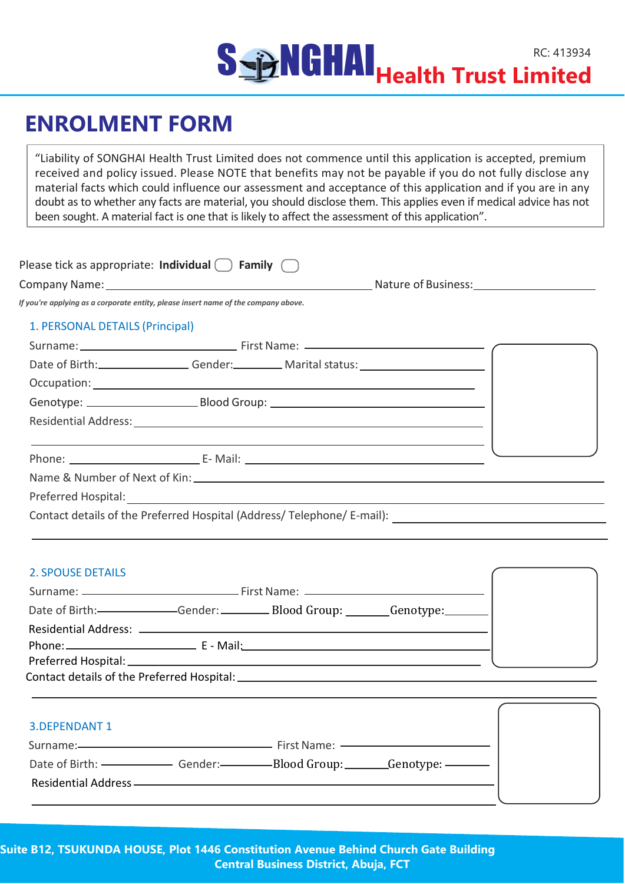# SSERIGHAL RECEATION **NGHAI**<br>**Health Trust Limited**

# **ENROLMENT FORM**

"Liability of SONGHAI Health Trust Limited does not commence until this application is accepted, premium received and policy issued. Please NOTE that benefits may not be payable if you do not fully disclose any material facts which could influence our assessment and acceptance of this application and if you are in any doubt as to whether any facts are material, you should disclose them. This applies even if medical advice has not been sought. A material fact is one that is likely to affect the assessment of this application".

| Please tick as appropriate: Individual $\bigcap$ Family |                     |
|---------------------------------------------------------|---------------------|
| <b>Company Name:</b>                                    | Nature of Business: |

*If you're applying as a corporate entity, please insert name of the company above.*

### 1. PERSONAL DETAILS (Principal)

| Date of Birth: Gender: Marital status: 1990 Marital Status: 1991 |            |
|------------------------------------------------------------------|------------|
|                                                                  |            |
|                                                                  |            |
|                                                                  |            |
|                                                                  | $\sqrt{2}$ |
|                                                                  |            |
|                                                                  |            |

Contact details of the Preferred Hospital (Address/ Telephone/ E-mail):

### 2. SPOUSE DETAILS

| 3. DEPENDANT 1 |                                                                                                                |  |
|----------------|----------------------------------------------------------------------------------------------------------------|--|
|                |                                                                                                                |  |
|                | Date of Birth: — — Gender: Gender: Blood Group: Genotype: Genotype: Genotype: Communisty Control of Birth: The |  |
|                | Residential Address ———————————————————————————                                                                |  |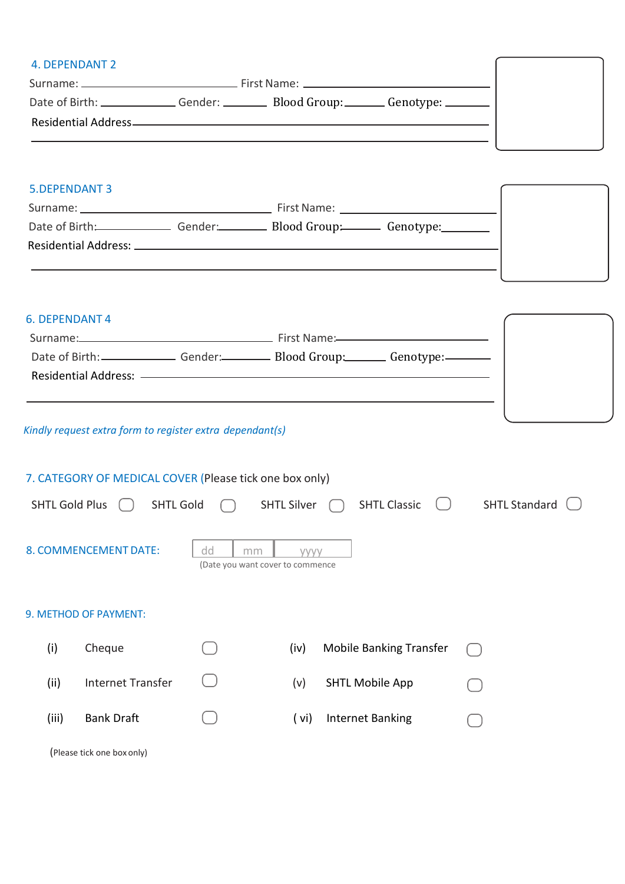| Date of Birth: Change Conder: Change Blood Group: Change Condype: Change Blood Group: |  |  |
|---------------------------------------------------------------------------------------|--|--|

## 5.DEPENDANT 3

|                                               |  | First Name: The contract of the contract of the contract of the contract of the contract of the contract of the contract of the contract of the contract of the contract of the contract of the contract of the contract of th |
|-----------------------------------------------|--|--------------------------------------------------------------------------------------------------------------------------------------------------------------------------------------------------------------------------------|
| Date of Birth: Gender: Blood Group: Genotype: |  |                                                                                                                                                                                                                                |
| Residential Address: ________________         |  |                                                                                                                                                                                                                                |

ſ

## 6. DEPENDANT 4

| Date of Birth: Gender: Gender: Blood Group: Genotype: Content Content |
|-----------------------------------------------------------------------|
|                                                                       |
|                                                                       |
|                                                                       |

## *Kindly request extra form to register extra dependant(s)*

|                       | 7. CATEGORY OF MEDICAL COVER (Please tick one box only) |                                              |                    |                                |                      |  |  |  |  |  |  |  |
|-----------------------|---------------------------------------------------------|----------------------------------------------|--------------------|--------------------------------|----------------------|--|--|--|--|--|--|--|
| <b>SHTL Gold Plus</b> | <b>SHTL Gold</b>                                        |                                              | <b>SHTL Silver</b> | <b>SHTL Classic</b>            | <b>SHTL Standard</b> |  |  |  |  |  |  |  |
|                       | 8. COMMENCEMENT DATE:                                   | dd<br>mm<br>(Date you want cover to commence | <b>VVVV</b>        |                                |                      |  |  |  |  |  |  |  |
|                       | 9. METHOD OF PAYMENT:                                   |                                              |                    |                                |                      |  |  |  |  |  |  |  |
| (i)                   | Cheque                                                  |                                              | (iv)               | <b>Mobile Banking Transfer</b> |                      |  |  |  |  |  |  |  |
| (ii)                  | <b>Internet Transfer</b>                                |                                              | (v)                | <b>SHTL Mobile App</b>         |                      |  |  |  |  |  |  |  |
| (iii)                 | <b>Bank Draft</b>                                       |                                              | ( vi)              | <b>Internet Banking</b>        |                      |  |  |  |  |  |  |  |
|                       |                                                         |                                              |                    |                                |                      |  |  |  |  |  |  |  |

(Please tick one box only)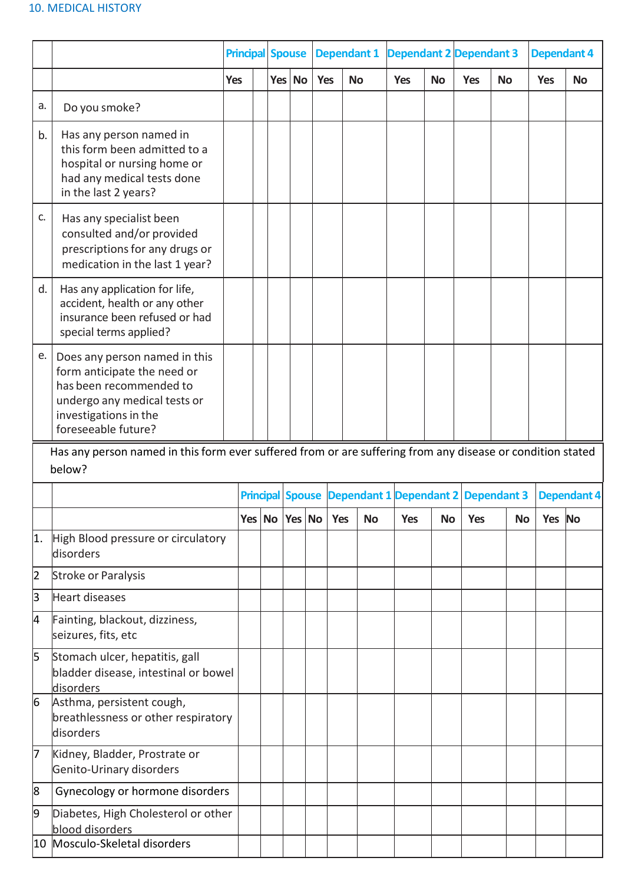### 10. MEDICAL HISTORY

|                                                                                                                      |                                                                                                                                                                         |            |  |  | <b>Principal Spouse</b> |  |                                                      | <b>Dependant 1</b> |            | <b>Dependant 2 Dependant 3</b> |            |           | <b>Dependant 4</b> |                    |  |
|----------------------------------------------------------------------------------------------------------------------|-------------------------------------------------------------------------------------------------------------------------------------------------------------------------|------------|--|--|-------------------------|--|------------------------------------------------------|--------------------|------------|--------------------------------|------------|-----------|--------------------|--------------------|--|
|                                                                                                                      |                                                                                                                                                                         | <b>Yes</b> |  |  | Yes No                  |  | Yes                                                  | <b>No</b>          | <b>Yes</b> | <b>No</b>                      | <b>Yes</b> | <b>No</b> | <b>Yes</b>         | <b>No</b>          |  |
| a.                                                                                                                   | Do you smoke?                                                                                                                                                           |            |  |  |                         |  |                                                      |                    |            |                                |            |           |                    |                    |  |
| b.                                                                                                                   | Has any person named in<br>this form been admitted to a<br>hospital or nursing home or<br>had any medical tests done<br>in the last 2 years?                            |            |  |  |                         |  |                                                      |                    |            |                                |            |           |                    |                    |  |
| c.                                                                                                                   | Has any specialist been<br>consulted and/or provided<br>prescriptions for any drugs or<br>medication in the last 1 year?                                                |            |  |  |                         |  |                                                      |                    |            |                                |            |           |                    |                    |  |
| d.                                                                                                                   | Has any application for life,<br>accident, health or any other<br>insurance been refused or had<br>special terms applied?                                               |            |  |  |                         |  |                                                      |                    |            |                                |            |           |                    |                    |  |
| е.                                                                                                                   | Does any person named in this<br>form anticipate the need or<br>has been recommended to<br>undergo any medical tests or<br>investigations in the<br>foreseeable future? |            |  |  |                         |  |                                                      |                    |            |                                |            |           |                    |                    |  |
| Has any person named in this form ever suffered from or are suffering from any disease or condition stated<br>below? |                                                                                                                                                                         |            |  |  |                         |  |                                                      |                    |            |                                |            |           |                    |                    |  |
|                                                                                                                      |                                                                                                                                                                         |            |  |  |                         |  | Principal Spouse Dependant 1 Dependant 2 Dependant 3 |                    |            |                                |            |           |                    | <b>Dependant 4</b> |  |
|                                                                                                                      |                                                                                                                                                                         |            |  |  | Yes   No   Yes   No     |  | <b>Yes</b>                                           | <b>No</b>          | <b>Yes</b> | <b>No</b>                      | <b>Yes</b> | <b>No</b> | Yes                | <b>No</b>          |  |
| 1.                                                                                                                   | High Blood pressure or circulatory<br>disorders                                                                                                                         |            |  |  |                         |  |                                                      |                    |            |                                |            |           |                    |                    |  |
| 2                                                                                                                    | Stroke or Paralysis                                                                                                                                                     |            |  |  |                         |  |                                                      |                    |            |                                |            |           |                    |                    |  |
| $\overline{\mathsf{B}}$                                                                                              | Heart diseases                                                                                                                                                          |            |  |  |                         |  |                                                      |                    |            |                                |            |           |                    |                    |  |
| 4                                                                                                                    | Fainting, blackout, dizziness,<br>seizures, fits, etc                                                                                                                   |            |  |  |                         |  |                                                      |                    |            |                                |            |           |                    |                    |  |
| 5                                                                                                                    | Stomach ulcer, hepatitis, gall<br>bladder disease, intestinal or bowel<br>disorders                                                                                     |            |  |  |                         |  |                                                      |                    |            |                                |            |           |                    |                    |  |
| 6                                                                                                                    | Asthma, persistent cough,<br>breathlessness or other respiratory<br>disorders                                                                                           |            |  |  |                         |  |                                                      |                    |            |                                |            |           |                    |                    |  |
| 7                                                                                                                    | Kidney, Bladder, Prostrate or<br>Genito-Urinary disorders                                                                                                               |            |  |  |                         |  |                                                      |                    |            |                                |            |           |                    |                    |  |
| 8                                                                                                                    | Gynecology or hormone disorders                                                                                                                                         |            |  |  |                         |  |                                                      |                    |            |                                |            |           |                    |                    |  |
| þ<br>10                                                                                                              | Diabetes, High Cholesterol or other<br>blood disorders<br>Mosculo-Skeletal disorders                                                                                    |            |  |  |                         |  |                                                      |                    |            |                                |            |           |                    |                    |  |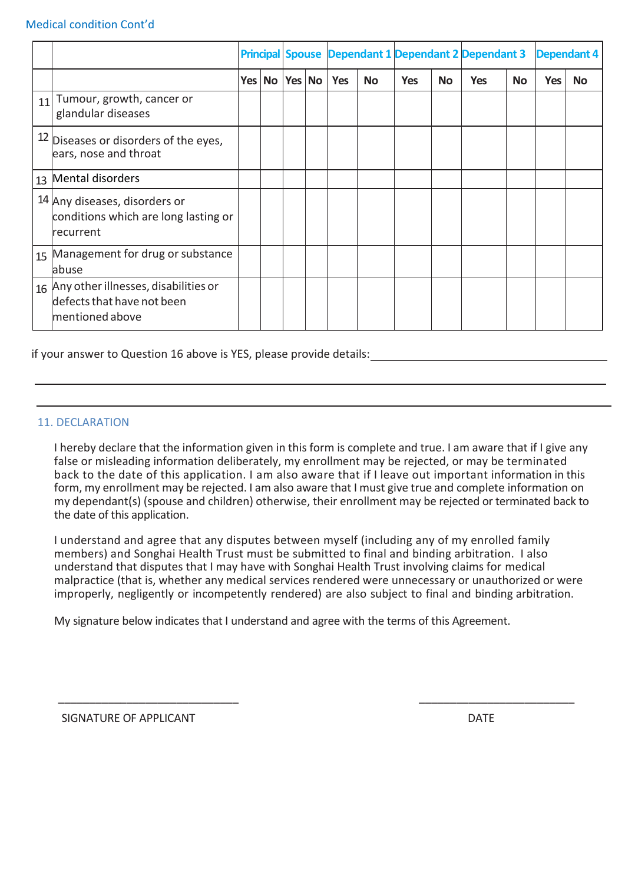### Medical condition Cont'd

|    |                                                                                          |        |        |            |           |            |           | <b>Principal Spouse Dependant 1 Dependant 2 Dependant 3</b> |           |            | <b>Dependant 4</b> |
|----|------------------------------------------------------------------------------------------|--------|--------|------------|-----------|------------|-----------|-------------------------------------------------------------|-----------|------------|--------------------|
|    |                                                                                          | Yes No | Yes No | <b>Yes</b> | <b>No</b> | <b>Yes</b> | <b>No</b> | <b>Yes</b>                                                  | <b>No</b> | <b>Yes</b> | <b>No</b>          |
| 11 | Tumour, growth, cancer or<br>glandular diseases                                          |        |        |            |           |            |           |                                                             |           |            |                    |
|    | $12$ Diseases or disorders of the eyes,<br>ears, nose and throat                         |        |        |            |           |            |           |                                                             |           |            |                    |
|    | 13 Mental disorders                                                                      |        |        |            |           |            |           |                                                             |           |            |                    |
|    | 14 Any diseases, disorders or<br>conditions which are long lasting or<br>lrecurrent      |        |        |            |           |            |           |                                                             |           |            |                    |
|    | 15 Management for drug or substance<br>abuse                                             |        |        |            |           |            |           |                                                             |           |            |                    |
|    | 16 Any other illnesses, disabilities or<br>defects that have not been<br>mentioned above |        |        |            |           |            |           |                                                             |           |            |                    |

if your answer to Question 16 above is YES, please provide details:

### 11. DECLARATION

I hereby declare that the information given in this form is complete and true. I am aware that if I give any false or misleading information deliberately, my enrollment may be rejected, or may be terminated back to the date of this application. I am also aware that if I leave out important information in this form, my enrollment may be rejected. I am also aware that I must give true and complete information on my dependant(s) (spouse and children) otherwise, their enrollment may be rejected or terminated back to the date of this application.

I understand and agree that any disputes between myself (including any of my enrolled family members) and Songhai Health Trust must be submitted to final and binding arbitration. I also understand that disputes that I may have with Songhai Health Trust involving claims for medical malpractice (that is, whether any medical services rendered were unnecessary or unauthorized or were improperly, negligently or incompetently rendered) are also subject to final and binding arbitration.

\_\_\_\_\_\_\_\_\_\_\_\_\_\_\_\_\_\_\_\_\_\_\_\_\_\_\_\_\_ \_\_\_\_\_\_\_\_\_\_\_\_\_\_\_\_\_\_\_\_\_\_\_\_\_

My signature below indicates that I understand and agree with the terms of this Agreement.

SIGNATURE OF APPLICANT **DATE**